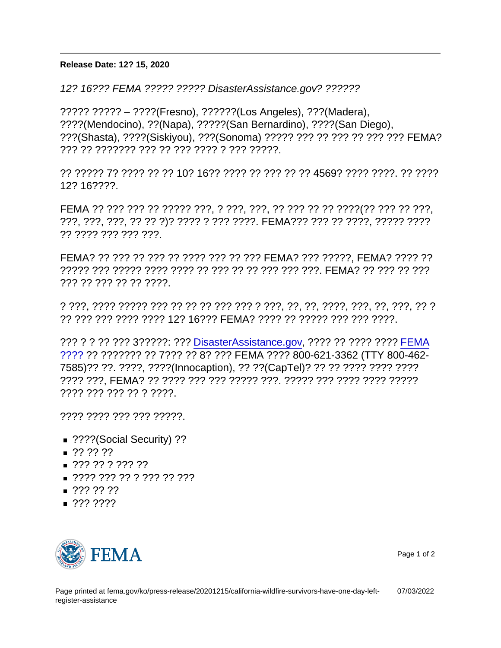## Î<sup>~1</sup>¬Óì<sup>2</sup>ÈÅD ÖTǬ Õ<ÕtÇ• ÆÐÈp Æ"Ì- ´ñ¸] ®0Õ\ <sup>1</sup>ÈÉÀ<sup>1</sup>É ÕX¸è

Release Date: 12? 15, 2020

12? 16??? FEMA ????? ????? DisasterAssistance.gov? ??????

????? ????? – ????(Fresno), ??????(Los Angeles), ???(Madera), ????(Mendocino), ??(Napa), ?????(San Bernardino), ????(San Diego), ???(Shasta), ????(Siskiyou), ???(Sonoma) ????? ??? ?? ??? ?? ??? ??? FEMA? ??? ?? ??????? ??? ?? ??? ???? ? ??? ?????.

?? ????? 7? ???? ?? ?? 10? 16?? ???? ?? ??? ?? ?? 4569? ???? ????. ?? ???? 12? 16????.

FEMA ?? ??? ??? ?? ????? ???, ? ???, ???, ?? ??? ?? ?? ????(?? ??? ?? ???, ???, ???, ???, ?? ?? ?)? ???? ? ??? ????. FEMA??? ??? ?? ????, ????? ???? ?? ???? ??? ??? ???.

FEMA? ?? ??? ?? ??? ?? ???? ??? ?? ??? FEMA? ??? ?????, FEMA? ???? ?? ????? ??? ????? ???? ???? ?? ??? ?? ?? ??? ??? ???. FEMA? ?? ??? ?? ??? ??? ?? ??? ?? ?? ????.

? ???, ???? ????? ??? ?? ?? ?? ??? ??? ? ???, ??, ??, ????, ???, ??, ???, ?? ? ?? ??? ??? ???? ???? 12? 16??? FEMA? ???? ?? ????? ??? ??? ????.

??? ? ? ?? ??? 3?????: ??? [DisasterAssistance.gov](https://www.disasterassistance.gov/), ???? ?? ???? ???? [FEMA](https://www.fema.gov/mobile-app) [????](https://www.fema.gov/mobile-app) ?? ??????? ?? 7??? ?? 8? ??? FEMA ???? 800-621-3362 (TTY 800-462- 7585)?? ??. ????, ????(Innocaption), ?? ??(CapTel)? ?? ?? ???? ???? ???? ???? ???, FEMA? ?? ???? ??? ??? ????? ???. ????? ??? ???? ???? ????? ???? ??? ??? ?? ? ????.

???? ???? ??? ??? ?????.

- ????(Social Security) ??
- $\blacksquare$  ?? ?? ??
- $\blacksquare$  ??? ?? ??? ??
- $\blacksquare$  ???? ??? ?? ??? ??? ???
- $227777772$
- $\blacksquare$  ??????



Page 1 of 2